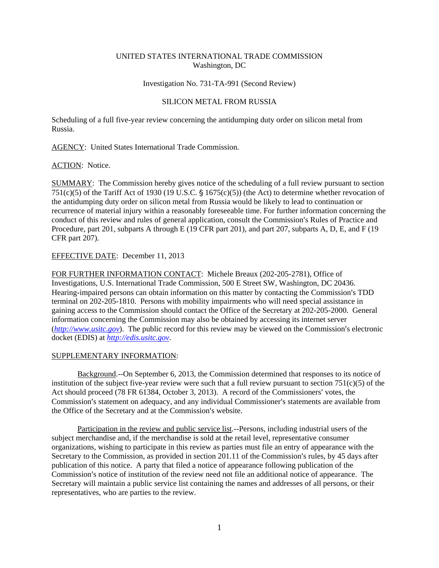## UNITED STATES INTERNATIONAL TRADE COMMISSION Washington, DC

## Investigation No. 731-TA-991 (Second Review)

## SILICON METAL FROM RUSSIA

Scheduling of a full five-year review concerning the antidumping duty order on silicon metal from Russia.

AGENCY: United States International Trade Commission.

ACTION: Notice.

SUMMARY: The Commission hereby gives notice of the scheduling of a full review pursuant to section 751(c)(5) of the Tariff Act of 1930 (19 U.S.C.  $\S$  1675(c)(5)) (the Act) to determine whether revocation of the antidumping duty order on silicon metal from Russia would be likely to lead to continuation or recurrence of material injury within a reasonably foreseeable time. For further information concerning the conduct of this review and rules of general application, consult the Commission's Rules of Practice and Procedure, part 201, subparts A through E (19 CFR part 201), and part 207, subparts A, D, E, and F (19 CFR part 207).

EFFECTIVE DATE: December 11, 2013

FOR FURTHER INFORMATION CONTACT: Michele Breaux (202-205-2781), Office of Investigations, U.S. International Trade Commission, 500 E Street SW, Washington, DC 20436. Hearing-impaired persons can obtain information on this matter by contacting the Commission's TDD terminal on 202-205-1810. Persons with mobility impairments who will need special assistance in gaining access to the Commission should contact the Office of the Secretary at 202-205-2000. General information concerning the Commission may also be obtained by accessing its internet server  $(http://www.ustc.gov)$ . The public record for this review may be viewed on the Commission's electronic docket (EDIS) at *http://edis.usitc.gov*.

## SUPPLEMENTARY INFORMATION:

Background.--On September 6, 2013, the Commission determined that responses to its notice of institution of the subject five-year review were such that a full review pursuant to section  $751(c)(5)$  of the Act should proceed (78 FR 61384, October 3, 2013). A record of the Commissioners' votes, the Commission's statement on adequacy, and any individual Commissioner's statements are available from the Office of the Secretary and at the Commission's website.

Participation in the review and public service list.--Persons, including industrial users of the subject merchandise and, if the merchandise is sold at the retail level, representative consumer organizations, wishing to participate in this review as parties must file an entry of appearance with the Secretary to the Commission, as provided in section  $201.11$  of the Commission's rules, by 45 days after publication of this notice. A party that filed a notice of appearance following publication of the Commission's notice of institution of the review need not file an additional notice of appearance. The Secretary will maintain a public service list containing the names and addresses of all persons, or their representatives, who are parties to the review.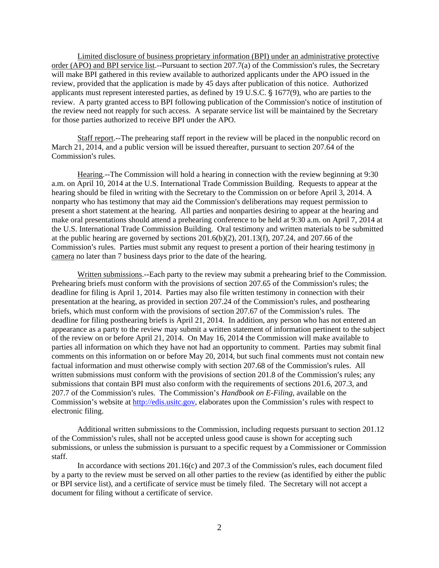Limited disclosure of business proprietary information (BPI) under an administrative protective order (APO) and BPI service list.--Pursuant to section  $207.7(a)$  of the Commission's rules, the Secretary will make BPI gathered in this review available to authorized applicants under the APO issued in the review, provided that the application is made by 45 days after publication of this notice. Authorized applicants must represent interested parties, as defined by  $19 \text{ U.S.C.}$  \$  $1677(9)$ , who are parties to the review. A party granted access to BPI following publication of the Commission's notice of institution of the review need not reapply for such access. A separate service list will be maintained by the Secretary for those parties authorized to receive BPI under the APO.

Staff report.--The prehearing staff report in the review will be placed in the nonpublic record on March 21, 2014, and a public version will be issued thereafter, pursuant to section 207.64 of the Commission's rules.

Hearing.--The Commission will hold a hearing in connection with the review beginning at 9:30 a.m. on April 10, 2014 at the U.S. International Trade Commission Building. Requests to appear at the hearing should be filed in writing with the Secretary to the Commission on or before April 3, 2014. A nonparty who has testimony that may aid the Commission's deliberations may request permission to present a short statement at the hearing. All parties and nonparties desiring to appear at the hearing and make oral presentations should attend a prehearing conference to be held at 9:30 a.m. on April 7, 2014 at the U.S. International Trade Commission Building. Oral testimony and written materials to be submitted at the public hearing are governed by sections  $201.6(b)(2)$ ,  $201.13(f)$ ,  $207.24$ , and  $207.66$  of the Commission's rules. Parties must submit any request to present a portion of their hearing testimony in camera no later than 7 business days prior to the date of the hearing.

Written submissions.--Each party to the review may submit a prehearing brief to the Commission. Prehearing briefs must conform with the provisions of section 207.65 of the Commission's rules; the deadline for filing is April 1, 2014. Parties may also file written testimony in connection with their presentation at the hearing, as provided in section 207.24 of the Commission's rules, and posthearing briefs, which must conform with the provisions of section 207.67 of the Commission's rules. The deadline for filing posthearing briefs is April 21, 2014. In addition, any person who has not entered an appearance as a party to the review may submit a written statement of information pertinent to the subject of the review on or before April 21, 2014. On May 16, 2014 the Commission will make available to parties all information on which they have not had an opportunity to comment. Parties may submit final comments on this information on or before May 20, 2014, but such final comments must not contain new factual information and must otherwise comply with section 207.68 of the Commission's rules. All written submissions must conform with the provisions of section  $201.8$  of the Commission's rules; any submissions that contain BPI must also conform with the requirements of sections 201.6, 207.3, and 207.7 of the Commission's rules. The Commission's *Handbook on E-Filing*, available on the Commission's website at http://edis.usitc.gov, elaborates upon the Commission's rules with respect to electronic filing.

Additional written submissions to the Commission, including requests pursuant to section 201.12 of the Commission's rules, shall not be accepted unless good cause is shown for accepting such submissions, or unless the submission is pursuant to a specific request by a Commissioner or Commission staff.

In accordance with sections  $201.16(c)$  and  $207.3$  of the Commission's rules, each document filed by a party to the review must be served on all other parties to the review (as identified by either the public or BPI service list), and a certificate of service must be timely filed. The Secretary will not accept a document for filing without a certificate of service.